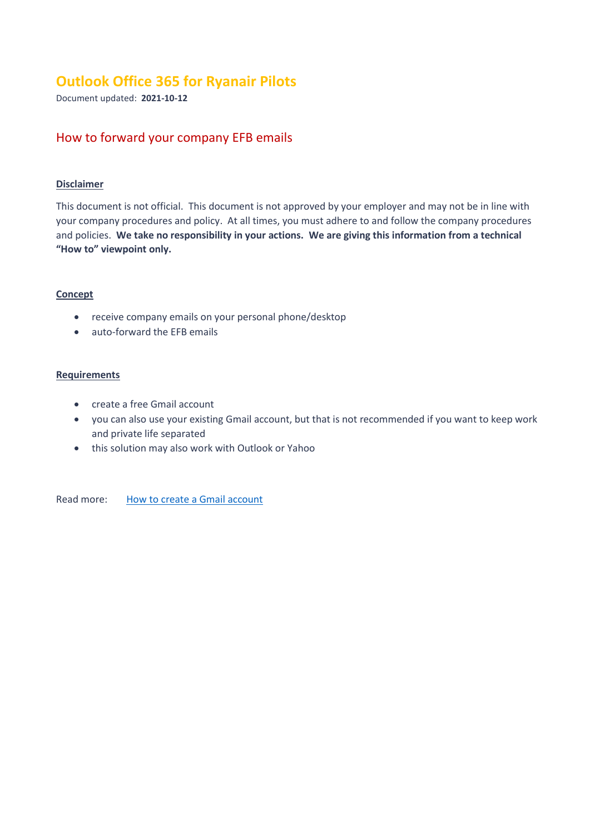# **Outlook Office 365 for Ryanair Pilots**

Document updated: **2021-10-12**

# How to forward your company EFB emails

### **Disclaimer**

This document is not official. This document is not approved by your employer and may not be in line with your company procedures and policy. At all times, you must adhere to and follow the company procedures and policies. **We take no responsibility in your actions. We are giving this information from a technical "How to" viewpoint only.**

#### **Concept**

- receive company emails on your personal phone/desktop
- auto-forward the EFB emails

## **Requirements**

- create a free Gmail account
- you can also use your existing Gmail account, but that is not recommended if you want to keep work and private life separated
- this solution may also work with Outlook or Yahoo

Read more: [How to create a](https://support.google.com/mail/answer/56256) Gmail account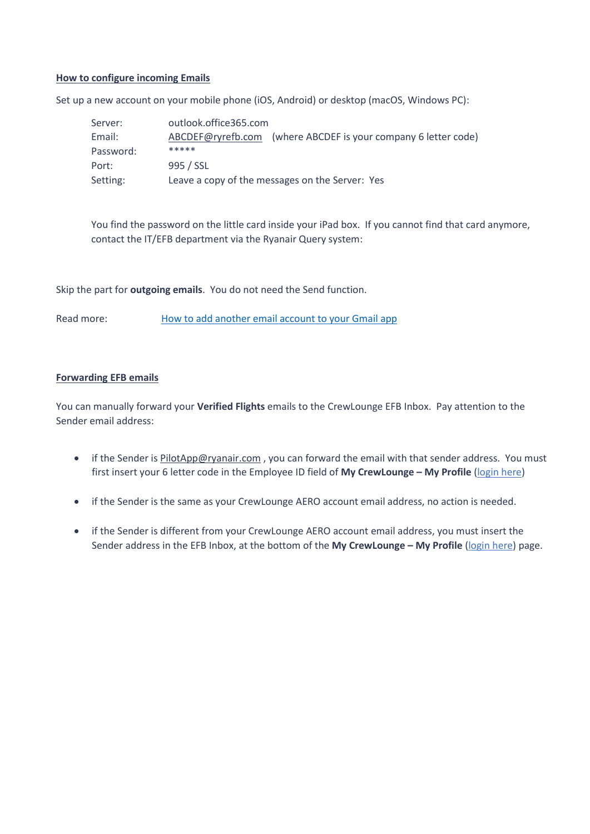#### **How to configure incoming Emails**

Set up a new account on your mobile phone (iOS, Android) or desktop (macOS, Windows PC):

| Server:   | outlook.office365.com                                             |  |
|-----------|-------------------------------------------------------------------|--|
| Email:    | (where ABCDEF is your company 6 letter code)<br>ABCDEF@ryrefb.com |  |
| Password: | *****                                                             |  |
| Port:     | 995 / SSL                                                         |  |
| Setting:  | Leave a copy of the messages on the Server: Yes                   |  |

You find the password on the little card inside your iPad box. If you cannot find that card anymore, contact the IT/EFB department via the Ryanair Query system:

Skip the part for **outgoing emails**. You do not need the Send function.

Read more: [How to add another email account to your Gmail app](https://support.google.com/mail/answer/6078445)

#### **Forwarding EFB emails**

You can manually forward your **Verified Flights** emails to the CrewLounge EFB Inbox. Pay attention to the Sender email address:

- if the Sender is [PilotApp@ryanair.com](mailto:PilotApp@ryanair.com) , you can forward the email with that sender address. You must first insert your 6 letter code in the Employee ID field of **My CrewLounge – My Profile** [\(login here\)](https://crewlounge.center/user/privacy)
- if the Sender is the same as your CrewLounge AERO account email address, no action is needed.
- if the Sender is different from your CrewLounge AERO account email address, you must insert the Sender address in the EFB Inbox, at the bottom of the **My CrewLounge – My Profile** [\(login here\)](https://crewlounge.center/user/privacy) page.